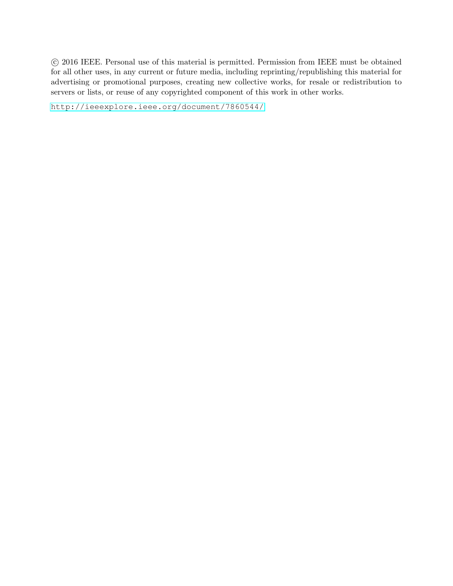c 2016 IEEE. Personal use of this material is permitted. Permission from IEEE must be obtained for all other uses, in any current or future media, including reprinting/republishing this material for advertising or promotional purposes, creating new collective works, for resale or redistribution to servers or lists, or reuse of any copyrighted component of this work in other works.

<http://ieeexplore.ieee.org/document/7860544/>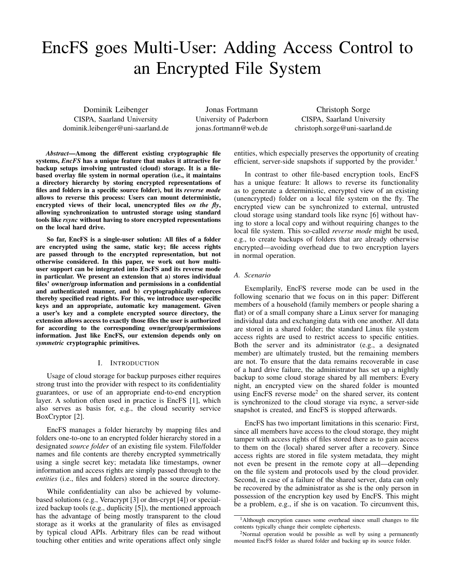# EncFS goes Multi-User: Adding Access Control to an Encrypted File System

Dominik Leibenger CISPA, Saarland University dominik.leibenger@uni-saarland.de

Jonas Fortmann University of Paderborn jonas.fortmann@web.de

Christoph Sorge CISPA, Saarland University christoph.sorge@uni-saarland.de

*Abstract*—Among the different existing cryptographic file systems, *EncFS* has a unique feature that makes it attractive for backup setups involving untrusted (cloud) storage. It is a filebased overlay file system in normal operation (i.e., it maintains a directory hierarchy by storing encrypted representations of files and folders in a specific source folder), but its *reverse mode* allows to reverse this process: Users can mount deterministic, encrypted views of their local, unencrypted files *on the fly*, allowing synchronization to untrusted storage using standard tools like *rsync* without having to store encrypted representations on the local hard drive.

So far, EncFS is a single-user solution: All files of a folder are encrypted using the same, static key; file access rights are passed through to the encrypted representation, but not otherwise considered. In this paper, we work out how multiuser support can be integrated into EncFS and its reverse mode in particular. We present an extension that a) stores individual files' owner/group information and permissions in a confidential and authenticated manner, and b) cryptographically enforces thereby specified read rights. For this, we introduce user-specific keys and an appropriate, automatic key management. Given a user's key and a complete encrypted source directory, the extension allows access to exactly those files the user is authorized for according to the corresponding owner/group/permissions information. Just like EncFS, our extension depends only on *symmetric* cryptographic primitives.

## I. INTRODUCTION

Usage of cloud storage for backup purposes either requires strong trust into the provider with respect to its confidentiality guarantees, or use of an appropriate end-to-end encryption layer. A solution often used in practice is EncFS [1], which also serves as basis for, e.g., the cloud security service BoxCryptor [2].

EncFS manages a folder hierarchy by mapping files and folders one-to-one to an encrypted folder hierarchy stored in a designated *source folder* of an existing file system. File/folder names and file contents are thereby encrypted symmetrically using a single secret key; metadata like timestamps, owner information and access rights are simply passed through to the *entities* (i.e., files and folders) stored in the source directory.

While confidentiality can also be achieved by volumebased solutions (e.g., Veracrypt [3] or dm-crypt [4]) or specialized backup tools (e.g., duplicity [5]), the mentioned approach has the advantage of being mostly transparent to the cloud storage as it works at the granularity of files as envisaged by typical cloud APIs. Arbitrary files can be read without touching other entities and write operations affect only single entities, which especially preserves the opportunity of creating efficient, server-side snapshots if supported by the provider.<sup>1</sup>

In contrast to other file-based encryption tools, EncFS has a unique feature: It allows to reverse its functionality as to generate a deterministic, encrypted view of an existing (unencrypted) folder on a local file system on the fly. The encrypted view can be synchronized to external, untrusted cloud storage using standard tools like rsync [6] without having to store a local copy and without requiring changes to the local file system. This so-called *reverse mode* might be used, e.g., to create backups of folders that are already otherwise encrypted—avoiding overhead due to two encryption layers in normal operation.

# *A. Scenario*

Exemplarily, EncFS reverse mode can be used in the following scenario that we focus on in this paper: Different members of a household (family members or people sharing a flat) or of a small company share a Linux server for managing individual data and exchanging data with one another. All data are stored in a shared folder; the standard Linux file system access rights are used to restrict access to specific entities. Both the server and its administrator (e.g., a designated member) are ultimately trusted, but the remaining members are not. To ensure that the data remains recoverable in case of a hard drive failure, the administrator has set up a nightly backup to some cloud storage shared by all members: Every night, an encrypted view on the shared folder is mounted using EncFS reverse mode<sup>2</sup> on the shared server, its content is synchronized to the cloud storage via rsync, a server-side snapshot is created, and EncFS is stopped afterwards.

EncFS has two important limitations in this scenario: First, since all members have access to the cloud storage, they might tamper with access rights of files stored there as to gain access to them on the (local) shared server after a recovery. Since access rights are stored in file system metadata, they might not even be present in the remote copy at all—depending on the file system and protocols used by the cloud provider. Second, in case of a failure of the shared server, data can only be recovered by the administrator as she is the only person in possession of the encryption key used by EncFS. This might be a problem, e.g., if she is on vacation. To circumvent this,

<sup>&</sup>lt;sup>1</sup>Although encryption causes some overhead since small changes to file contents typically change their complete ciphertexts.

<sup>2</sup>Normal operation would be possible as well by using a permanently mounted EncFS folder as shared folder and backing up its source folder.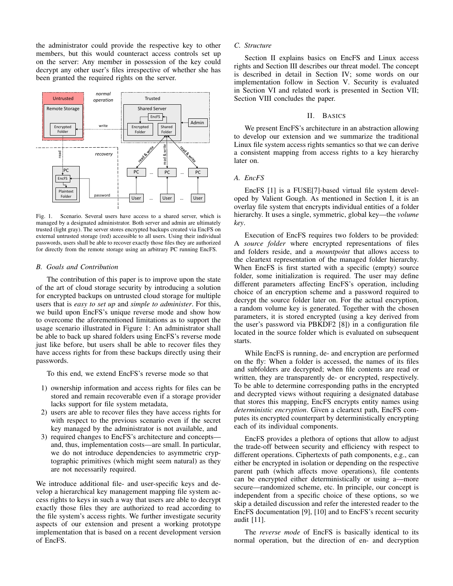the administrator could provide the respective key to other members, but this would counteract access controls set up on the server: Any member in possession of the key could decrypt any other user's files irrespective of whether she has been granted the required rights on the server.



Fig. 1. Scenario. Several users have access to a shared server, which is managed by a designated administrator. Both server and admin are ultimately trusted (light gray). The server stores encrypted backups created via EncFS on external untrusted storage (red) accessible to all users. Using their individual passwords, users shall be able to recover exactly those files they are authorized for directly from the remote storage using an arbitrary PC running EncFS.

#### *B. Goals and Contribution*

The contribution of this paper is to improve upon the state of the art of cloud storage security by introducing a solution for encrypted backups on untrusted cloud storage for multiple users that is *easy to set up* and *simple to administer*. For this, we build upon EncFS's unique reverse mode and show how to overcome the aforementioned limitations as to support the usage scenario illustrated in Figure 1: An administrator shall be able to back up shared folders using EncFS's reverse mode just like before, but users shall be able to recover files they have access rights for from these backups directly using their passwords.

To this end, we extend EncFS's reverse mode so that

- 1) ownership information and access rights for files can be stored and remain recoverable even if a storage provider lacks support for file system metadata,
- 2) users are able to recover files they have access rights for with respect to the previous scenario even if the secret key managed by the administrator is not available, and
- 3) required changes to EncFS's architecture and concepts and, thus, implementation costs—are small. In particular, we do not introduce dependencies to asymmetric cryptographic primitives (which might seem natural) as they are not necessarily required.

We introduce additional file- and user-specific keys and develop a hierarchical key management mapping file system access rights to keys in such a way that users are able to decrypt exactly those files they are authorized to read according to the file system's access rights. We further investigate security aspects of our extension and present a working prototype implementation that is based on a recent development version of EncFS.

## *C. Structure*

Section II explains basics on EncFS and Linux access rights and Section III describes our threat model. The concept is described in detail in Section IV; some words on our implementation follow in Section V. Security is evaluated in Section VI and related work is presented in Section VII; Section VIII concludes the paper.

#### II. BASICS

We present EncFS's architecture in an abstraction allowing to develop our extension and we summarize the traditional Linux file system access rights semantics so that we can derive a consistent mapping from access rights to a key hierarchy later on.

## *A. EncFS*

EncFS [1] is a FUSE[7]-based virtual file system developed by Valient Gough. As mentioned in Section I, it is an overlay file system that encrypts individual entities of a folder hierarchy. It uses a single, symmetric, global key—the *volume key*.

Execution of EncFS requires two folders to be provided: A *source folder* where encrypted representations of files and folders reside, and a *mountpoint* that allows access to the cleartext representation of the managed folder hierarchy. When EncFS is first started with a specific (empty) source folder, some initialization is required. The user may define different parameters affecting EncFS's operation, including choice of an encryption scheme and a password required to decrypt the source folder later on. For the actual encryption, a random volume key is generated. Together with the chosen parameters, it is stored encrypted (using a key derived from the user's password via PBKDF2 [8]) in a configuration file located in the source folder which is evaluated on subsequent starts.

While EncFS is running, de- and encryption are performed on the fly: When a folder is accessed, the names of its files and subfolders are decrypted; when file contents are read or written, they are transparently de- or encrypted, respectively. To be able to determine corresponding paths in the encrypted and decrypted views without requiring a designated database that stores this mapping, EncFS encrypts entity names using *deterministic encryption*. Given a cleartext path, EncFS computes its encrypted counterpart by deterministically encrypting each of its individual components.

EncFS provides a plethora of options that allow to adjust the trade-off between security and efficiency with respect to different operations. Ciphertexts of path components, e.g., can either be encrypted in isolation or depending on the respective parent path (which affects move operations), file contents can be encrypted either deterministically or using a—more secure—randomized scheme, etc. In principle, our concept is independent from a specific choice of these options, so we skip a detailed discussion and refer the interested reader to the EncFS documentation [9], [10] and to EncFS's recent security audit [11].

The *reverse mode* of EncFS is basically identical to its normal operation, but the direction of en- and decryption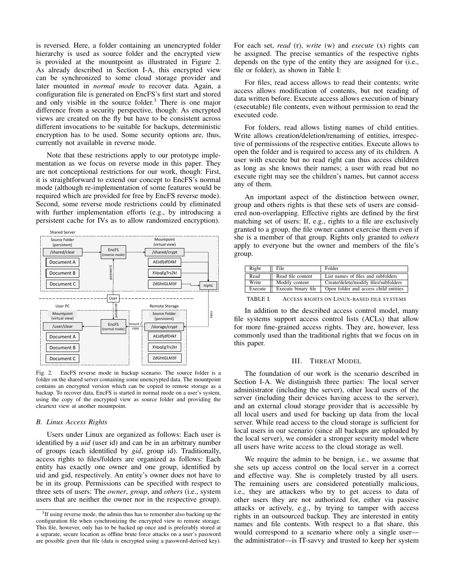is reversed. Here, a folder containing an unencrypted folder hierarchy is used as source folder and the encrypted view is provided at the mountpoint as illustrated in Figure 2. As already described in Section I-A, this encrypted view can be synchronized to some cloud storage provider and later mounted in *normal mode* to recover data. Again, a configuration file is generated on EncFS's first start and stored and only visible in the source folder.<sup>3</sup> There is one major difference from a security perspective, though: As encrypted views are created on the fly but have to be consistent across different invocations to be suitable for backups, deterministic encryption has to be used. Some security options are, thus, currently not available in reverse mode.

Note that these restrictions apply to our prototype implementation as we focus on reverse mode in this paper. They are not conceptional restrictions for our work, though: First, it is straightforward to extend our concept to EncFS's normal mode (although re-implementation of some features would be required which are provided for free by EncFS reverse mode). Second, some reverse mode restrictions could by eliminated with further implementation efforts (e.g., by introducing a persistent cache for IVs as to allow randomized encryption).



Fig. 2. EncFS reverse mode in backup scenario. The source folder is a folder on the shared server containing some unencrypted data. The mountpoint contains an encrypted version which can be copied to remote storage as a backup. To recover data, EncFS is started in normal mode on a user's system, using the copy of the encrypted view as source folder and providing the cleartext view at another mountpoint.

#### *B. Linux Access Rights*

Users under Linux are organized as follows: Each user is identified by a *uid* (user id) and can be in an arbitrary number of groups (each identified by *gid*, group id). Traditionally, access rights to files/folders are organized as follows: Each entity has exactly one owner and one group, identified by uid and gid, respectively. An entity's owner does not have to be in its group. Permissions can be specified with respect to three sets of users: The *owner*, *group*, and *others* (i.e., system users that are neither the owner nor in the respective group).

For each set, *read* (r), *write* (w) and *execute* (x) rights can be assigned. The precise semantics of the respective rights depends on the type of the entity they are assigned for (i.e., file or folder), as shown in Table I:

For files, read access allows to read their contents; write access allows modification of contents, but not reading of data written before. Execute access allows execution of binary (executable) file contents, even without permission to read the executed code.

For folders, read allows listing names of child entities. Write allows creation/deletion/renaming of entities, irrespective of permissions of the respective entities. Execute allows to open the folder and is required to access any of its children. A user with execute but no read right can thus access children as long as she knows their names; a user with read but no execute right may see the children's names, but cannot access any of them.

An important aspect of the distinction between owner, group and others rights is that these sets of users are considered non-overlapping. Effective rights are defined by the first matching set of users: If, e.g., rights to a file are exclusively granted to a group, the file owner cannot exercise them even if she is a member of that group. Rights only granted to *others* apply to everyone but the owner and members of the file's group.

| Right                                                       | File                | Folder                                |  |  |  |  |
|-------------------------------------------------------------|---------------------|---------------------------------------|--|--|--|--|
| Read                                                        | Read file content   | List names of files and subfolders    |  |  |  |  |
| Write                                                       | Modify content      | Create/delete/modify files/subfolders |  |  |  |  |
| Execute                                                     | Execute binary file | Open folder and access child entities |  |  |  |  |
| A GODGO DIGUES ON LINUX DASED FU E SYSTEMS<br><b>TADIEI</b> |                     |                                       |  |  |  |  |

TABLE I. ACCESS RIGHTS ON LINUX-BASED FILE SYSTEMS

In addition to the described access control model, many file systems support access control lists (ACLs) that allow for more fine-grained access rights. They are, however, less commonly used than the traditional rights that we focus on in this paper.

#### III. THREAT MODEL

The foundation of our work is the scenario described in Section I-A. We distinguish three parties: The local server administrator (including the server), other local users of the server (including their devices having access to the server), and an external cloud storage provider that is accessible by all local users and used for backing up data from the local server. While read access to the cloud storage is sufficient for local users in our scenario (since all backups are uploaded by the local server), we consider a stronger security model where all users have write access to the cloud storage as well.

We require the admin to be benign, i.e., we assume that she sets up access control on the local server in a correct and effective way. She is completely trusted by all users. The remaining users are considered potentially malicious, i.e., they are attackers who try to get access to data of other users they are not authorized for, either via passive attacks or actively, e.g., by trying to tamper with access rights in an outsourced backup. They are interested in entity names and file contents. With respect to a flat share, this would correspond to a scenario where only a single user the administrator—is IT-savvy and trusted to keep her system

 $3$ If using reverse mode, the admin thus has to remember also backing up the configuration file when synchronizing the encrypted view to remote storage. This file, however, only has to be backed up once and is preferably stored at a separate, secure location as offline brute force attacks on a user's password are possible given that file (data is encrypted using a password-derived key).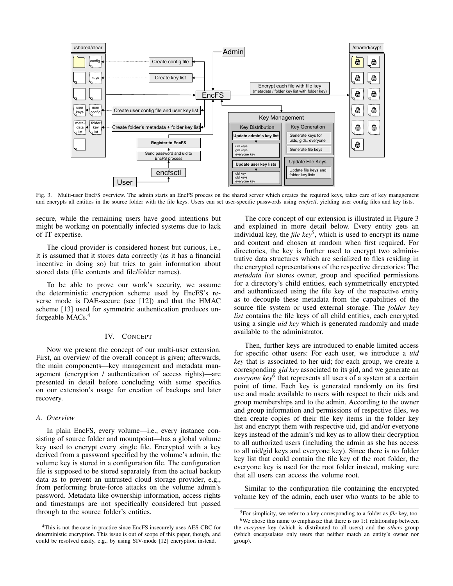

Fig. 3. Multi-user EncFS overview. The admin starts an EncFS process on the shared server which creates the required keys, takes care of key management and encrypts all entities in the source folder with the file keys. Users can set user-specific passwords using *encfsctl*, yielding user config files and key lists.

secure, while the remaining users have good intentions but might be working on potentially infected systems due to lack of IT expertise.

The cloud provider is considered honest but curious, i.e., it is assumed that it stores data correctly (as it has a financial incentive in doing so) but tries to gain information about stored data (file contents and file/folder names).

To be able to prove our work's security, we assume the deterministic encryption scheme used by EncFS's reverse mode is DAE-secure (see [12]) and that the HMAC scheme [13] used for symmetric authentication produces unforgeable MACs.<sup>4</sup>

#### IV. CONCEPT

Now we present the concept of our multi-user extension. First, an overview of the overall concept is given; afterwards, the main components—key management and metadata management (encryption / authentication of access rights)—are presented in detail before concluding with some specifics on our extension's usage for creation of backups and later recovery.

#### *A. Overview*

In plain EncFS, every volume—i.e., every instance consisting of source folder and mountpoint—has a global volume key used to encrypt every single file. Encrypted with a key derived from a password specified by the volume's admin, the volume key is stored in a configuration file. The configuration file is supposed to be stored separately from the actual backup data as to prevent an untrusted cloud storage provider, e.g., from performing brute-force attacks on the volume admin's password. Metadata like ownership information, access rights and timestamps are not specifically considered but passed through to the source folder's entities.

The core concept of our extension is illustrated in Figure 3 and explained in more detail below. Every entity gets an individual key, the *file key*<sup>5</sup> , which is used to encrypt its name and content and chosen at random when first required. For directories, the key is further used to encrypt two administrative data structures which are serialized to files residing in the encrypted representations of the respective directories: The *metadata list* stores owner, group and specified permissions for a directory's child entities, each symmetrically encrypted and authenticated using the file key of the respective entity as to decouple these metadata from the capabilities of the source file system or used external storage. The *folder key list* contains the file keys of all child entities, each encrypted using a single *uid key* which is generated randomly and made available to the administrator.

Then, further keys are introduced to enable limited access for specific other users: For each user, we introduce a *uid key* that is associated to her uid; for each group, we create a corresponding *gid key* associated to its gid, and we generate an *everyone key*<sup>6</sup> that represents all users of a system at a certain point of time. Each key is generated randomly on its first use and made available to users with respect to their uids and group memberships and to the admin. According to the owner and group information and permissions of respective files, we then create copies of their file key items in the folder key list and encrypt them with respective uid, gid and/or everyone keys instead of the admin's uid key as to allow their decryption to all authorized users (including the admin as she has access to all uid/gid keys and everyone key). Since there is no folder key list that could contain the file key of the root folder, the everyone key is used for the root folder instead, making sure that all users can access the volume root.

Similar to the configuration file containing the encrypted volume key of the admin, each user who wants to be able to

<sup>&</sup>lt;sup>4</sup>This is not the case in practice since EncFS insecurely uses AES-CBC for deterministic encryption. This issue is out of scope of this paper, though, and could be resolved easily, e.g., by using SIV-mode [12] encryption instead.

<sup>5</sup>For simplicity, we refer to a key corresponding to a folder as *file* key, too.

 $6$ We chose this name to emphasize that there is no 1:1 relationship between the *everyone* key (which is distributed to all users) and the *others* group (which encapsulates only users that neither match an entity's owner nor group).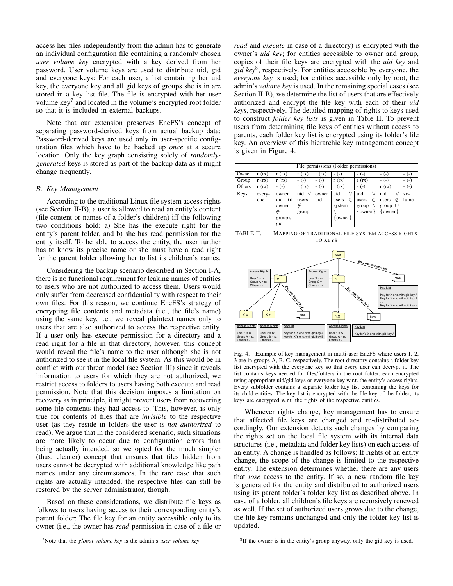access her files independently from the admin has to generate an individual configuration file containing a randomly chosen *user volume key* encrypted with a key derived from her password. User volume keys are used to distribute uid, gid and everyone keys: For each user, a list containing her uid key, the everyone key and all gid keys of groups she is in are stored in a key list file. The file is encrypted with her user volume key<sup>7</sup> and located in the volume's encrypted root folder so that it is included in external backups.

Note that our extension preserves EncFS's concept of separating password-derived keys from actual backup data: Password-derived keys are used only in user-specific configuration files which have to be backed up *once* at a secure location. Only the key graph consisting solely of *randomlygenerated* keys is stored as part of the backup data as it might change frequently.

#### *B. Key Management*

According to the traditional Linux file system access rights (see Section II-B), a user is allowed to read an entity's content (file content or names of a folder's children) iff the following two conditions hold: a) She has the execute right for the entity's parent folder, and b) she has read permission for the entity itself. To be able to access the entity, the user further has to know its precise name or she must have a read right for the parent folder allowing her to list its children's names.

Considering the backup scenario described in Section I-A, there is no functional requirement for leaking names of entities to users who are not authorized to access them. Users would only suffer from decreased confidentiality with respect to their own files. For this reason, we continue EncFS's strategy of encrypting file contents and metadata (i.e., the file's name) using the same key, i.e., we reveal plaintext names only to users that are also authorized to access the respective entity. If a user only has execute permission for a directory and a read right for a file in that directory, however, this concept would reveal the file's name to the user although she is not authorized to see it in the local file system. As this would be in conflict with our threat model (see Section III) since it reveals information to users for which they are not authorized, we restrict access to folders to users having both execute and read permission. Note that this decision imposes a limitation on recovery as in principle, it might prevent users from recovering some file contents they had access to. This, however, is only true for contents of files that are *invisible* to the respective user (as they reside in folders the user is *not authorized* to read). We argue that in the considered scenario, such situations are more likely to occur due to configuration errors than being actually intended, so we opted for the much simpler (thus, cleaner) concept that ensures that files hidden from users cannot be decrypted with additional knowledge like path names under any circumstances. In the rare case that such rights are actually intended, the respective files can still be restored by the server administrator, though.

Based on these considerations, we distribute file keys as follows to users having access to their corresponding entity's parent folder: The file key for an entity accessible only to its owner (i.e., the owner has *read* permission in case of a file or *read* and *execute* in case of a directory) is encrypted with the owner's *uid key*; for entities accessible to owner and group, copies of their file keys are encrypted with the *uid key* and *gid key*<sup>8</sup> , respectively. For entities accessible by everyone, the *everyone key* is used; for entities accessible only by root, the admin's *volume key* is used. In the remaining special cases (see Section II-B), we determine the list of users that are effectively authorized and encrypt the file key with each of their *uid keys*, respectively. The detailed mapping of rights to keys used to construct *folder key lists* is given in Table II. To prevent users from determining file keys of entities without access to parents, each folder key list is encrypted using its folder's file key. An overview of this hierarchic key management concept is given in Figure 4.

|        | File permissions (Folder permissions) |                                                     |                                 |              |                                                 |                                                |                                                     |               |  |
|--------|---------------------------------------|-----------------------------------------------------|---------------------------------|--------------|-------------------------------------------------|------------------------------------------------|-----------------------------------------------------|---------------|--|
| Owner  | (rx)                                  | (rx)<br>r                                           | (rx)<br>r                       | r(rx)        | $(-)$                                           | $(-)$                                          | $(-$                                                | $(-1)$        |  |
| Group  | (rx)                                  | r(rx)                                               |                                 | $1 - 1$      | r(rx)                                           | r(rx)                                          | $(-$                                                | $(-1)$        |  |
| Others | r(rx)                                 | $(-)$<br>-                                          | (rx)                            | $(-)$<br>۰   | r(rx)                                           | $(-)$                                          | r(rx)                                               | $(-1)$        |  |
| Keys   | every-<br>one                         | owner<br>(if<br>uid<br>owner<br>∉<br>group),<br>gid | uid<br>Α<br>users<br>∉<br>group | owner<br>uid | uid<br>Α<br>users<br>∈<br>system<br>$\{owner\}$ | uid<br>Α<br>$\in$<br>users<br>group<br>owner } | uid<br>Α<br>∉<br>users<br>group $\cup$<br>$owner\}$ | $VO-$<br>lume |  |

TABLE II. MAPPING OF TRADITIONAL FILE SYSTEM ACCESS RIGHTS TO KEYS



Fig. 4. Example of key management in multi-user EncFS where users 1, 2, 3 are in groups A, B, C, respectively. The root directory contains a folder key list encrypted with the everyone key so that every user can decrypt it. The list contains keys needed for files/folders in the root folder, each encrypted using appropriate uid/gid keys or everyone key w.r.t. the entity's access rights. Every subfolder contains a separate folder key list containing the keys for its child entities. The key list is encrypted with the file key of the folder; its keys are encrypted w.r.t. the rights of the respective entities.

Whenever rights change, key management has to ensure that affected file keys are changed and re-distributed accordingly. Our extension detects such changes by comparing the rights set on the local file system with its internal data structures (i.e., metadata and folder key lists) on each access of an entity. A change is handled as follows: If rights of an entity change, the scope of the change is limited to the respective entity. The extension determines whether there are any users that *lose* access to the entity. If so, a new random file key is generated for the entity and distributed to authorized users using its parent folder's folder key list as described above. In case of a folder, all children's file keys are recursively renewed as well. If the set of authorized users grows due to the change, the file key remains unchanged and only the folder key list is updated.

<sup>7</sup>Note that the *global volume key* is the admin's *user volume key*.

<sup>&</sup>lt;sup>8</sup>If the owner is in the entity's group anyway, only the gid key is used.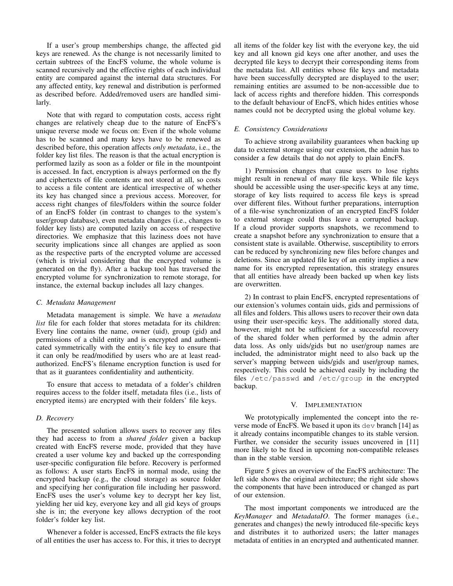If a user's group memberships change, the affected gid keys are renewed. As the change is not necessarily limited to certain subtrees of the EncFS volume, the whole volume is scanned recursively and the effective rights of each individual entity are compared against the internal data structures. For any affected entity, key renewal and distribution is performed as described before. Added/removed users are handled similarly.

Note that with regard to computation costs, access right changes are relatively cheap due to the nature of EncFS's unique reverse mode we focus on: Even if the whole volume has to be scanned and many keys have to be renewed as described before, this operation affects *only metadata*, i.e., the folder key list files. The reason is that the actual encryption is performed lazily as soon as a folder or file in the mountpoint is accessed. In fact, encryption is always performed on the fly and ciphertexts of file contents are not stored at all, so costs to access a file content are identical irrespective of whether its key has changed since a previous access. Moreover, for access right changes of files/folders within the source folder of an EncFS folder (in contrast to changes to the system's user/group database), even metadata changes (i.e., changes to folder key lists) are computed lazily on access of respective directories. We emphasize that this laziness does not have security implications since all changes are applied as soon as the respective parts of the encrypted volume are accessed (which is trivial considering that the encrypted volume is generated on the fly). After a backup tool has traversed the encrypted volume for synchronization to remote storage, for instance, the external backup includes all lazy changes.

## *C. Metadata Management*

Metadata management is simple. We have a *metadata list* file for each folder that stores metadata for its children: Every line contains the name, owner (uid), group (gid) and permissions of a child entity and is encrypted and authenticated symmetrically with the entity's file key to ensure that it can only be read/modified by users who are at least readauthorized. EncFS's filename encryption function is used for that as it guarantees confidentiality and authenticity.

To ensure that access to metadata of a folder's children requires access to the folder itself, metadata files (i.e., lists of encrypted items) are encrypted with their folders' file keys.

# *D. Recovery*

The presented solution allows users to recover any files they had access to from a *shared folder* given a backup created with EncFS reverse mode, provided that they have created a user volume key and backed up the corresponding user-specific configuration file before. Recovery is performed as follows: A user starts EncFS in normal mode, using the encrypted backup (e.g., the cloud storage) as source folder and specifying her configuration file including her password. EncFS uses the user's volume key to decrypt her key list, yielding her uid key, everyone key and all gid keys of groups she is in; the everyone key allows decryption of the root folder's folder key list.

Whenever a folder is accessed, EncFS extracts the file keys of all entities the user has access to. For this, it tries to decrypt all items of the folder key list with the everyone key, the uid key and all known gid keys one after another, and uses the decrypted file keys to decrypt their corresponding items from the metadata list. All entities whose file keys and metadata have been successfully decrypted are displayed to the user; remaining entities are assumed to be non-accessible due to lack of access rights and therefore hidden. This corresponds to the default behaviour of EncFS, which hides entities whose names could not be decrypted using the global volume key.

## *E. Consistency Considerations*

To achieve strong availability guarantees when backing up data to external storage using our extension, the admin has to consider a few details that do not apply to plain EncFS.

1) Permission changes that cause users to lose rights might result in renewal of *many* file keys. While file keys should be accessible using the user-specific keys at any time, storage of key lists required to access file keys is spread over different files. Without further preparations, interruption of a file-wise synchronization of an encrypted EncFS folder to external storage could thus leave a corrupted backup. If a cloud provider supports snapshots, we recommend to create a snapshot before any synchronization to ensure that a consistent state is available. Otherwise, susceptibility to errors can be reduced by synchronizing new files before changes and deletions. Since an updated file key of an entity implies a new name for its encrypted representation, this strategy ensures that all entities have already been backed up when key lists are overwritten.

2) In contrast to plain EncFS, encrypted representations of our extension's volumes contain uids, gids and permissions of all files and folders. This allows users to recover their own data using their user-specific keys. The additionally stored data, however, might not be sufficient for a successful recovery of the shared folder when performed by the admin after data loss. As only uids/gids but no user/group names are included, the administrator might need to also back up the server's mapping between uids/gids and user/group names, respectively. This could be achieved easily by including the files /etc/passwd and /etc/group in the encrypted backup.

## V. IMPLEMENTATION

We prototypically implemented the concept into the reverse mode of EncFS. We based it upon its dev branch [14] as it already contains incompatible changes to its stable version. Further, we consider the security issues uncovered in [11] more likely to be fixed in upcoming non-compatible releases than in the stable version.

Figure 5 gives an overview of the EncFS architecture: The left side shows the original architecture; the right side shows the components that have been introduced or changed as part of our extension.

The most important components we introduced are the *KeyManager* and *MetadataIO*. The former manages (i.e., generates and changes) the newly introduced file-specific keys and distributes it to authorized users; the latter manages metadata of entities in an encrypted and authenticated manner.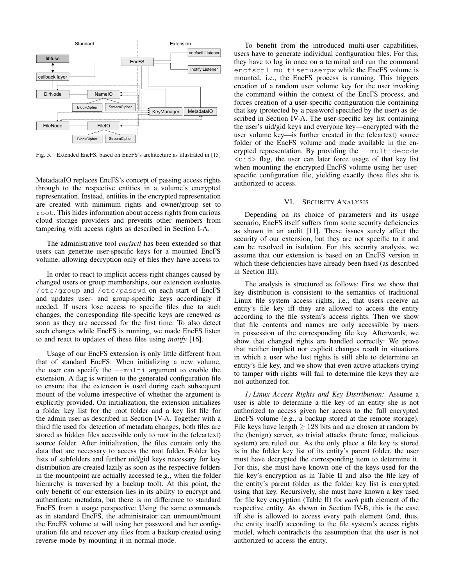

Fig. 5. Extended EncFS, based on EncFS's architecture as illustrated in [15]

MetadataIO replaces EncFS's concept of passing access rights through to the respective entities in a volume's encrypted representation. Instead, entities in the encrypted representation are created with minimum rights and owner/group set to root. This hides information about access rights from curious cloud storage providers and prevents other members from tampering with access rights as described in Section I-A.

The administrative tool *encfsctl* has been extended so that users can generate user-specific keys for a mounted EncFS volume, allowing decryption only of files they have access to.

In order to react to implicit access right changes caused by changed users or group memberships, our extension evaluates /etc/group and /etc/passwd on each start of EncFS and updates user- and group-specific keys accordingly if needed. If users lose access to specific files due to such changes, the corresponding file-specific keys are renewed as soon as they are accessed for the first time. To also detect such changes while EncFS is running, we made EncFS listen to and react to updates of these files using *inotify* [16].

Usage of our EncFS extension is only little different from that of standard EncFS: When initializing a new volume, the user can specify the --multi argument to enable the extension. A flag is written to the generated configuration file to ensure that the extension is used during each subsequent mount of the volume irrespective of whether the argument is explicitly provided. On initialization, the extension initializes a folder key list for the root folder and a key list file for the admin user as described in Section IV-A. Together with a third file used for detection of metadata changes, both files are stored as hidden files accessible only to root in the (cleartext) source folder. After initialization, the files contain only the data that are necessary to access the root folder. Folder key lists of subfolders and further uid/gid keys necessary for key distribution are created lazily as soon as the respective folders in the mountpoint are actually accessed (e.g., when the folder hierarchy is traversed by a backup tool). At this point, the only benefit of our extension lies in its ability to encrypt and authenticate metadata, but there is no difference to standard EncFS from a usage perspective: Using the same commands as in standard EncFS, the administrator can unmount/mount the EncFS volume at will using her password and her configuration file and recover any files from a backup created using reverse mode by mounting it in normal mode.

To benefit from the introduced multi-user capabilities, users have to generate individual configuration files. For this, they have to log in once on a terminal and run the command encfsctl multisetuserpw while the EncFS volume is mounted, i.e., the EncFS process is running. This triggers creation of a random user volume key for the user invoking the command within the context of the EncFS process, and forces creation of a user-specific configuration file containing that key (protected by a password specified by the user) as described in Section IV-A. The user-specific key list containing the user's uid/gid keys and everyone key—encrypted with the user volume key—is further created in the (cleartext) source folder of the EncFS volume and made available in the encrypted representation. By providing the --multidecode <uid> flag, the user can later force usage of that key list when mounting the encrypted EncFS volume using her userspecific configuration file, yielding exactly those files she is authorized to access.

#### VI. SECURITY ANALYSIS

Depending on its choice of parameters and its usage scenario, EncFS itself suffers from some security deficiencies as shown in an audit [11]. These issues surely affect the security of our extension, but they are not specific to it and can be resolved in isolation. For this security analysis, we assume that our extension is based on an EncFS version in which these deficiencies have already been fixed (as described in Section III).

The analysis is structured as follows: First we show that key distribution is consistent to the semantics of traditional Linux file system access rights, i.e., that users receive an entity's file key iff they are allowed to access the entity according to the file system's access rights. Then we show that file contents and names are only accessible by users in possession of the corresponding file key. Afterwards, we show that changed rights are handled correctly: We prove that neither implicit nor explicit changes result in situations in which a user who lost rights is still able to determine an entity's file key, and we show that even active attackers trying to tamper with rights will fail to determine file keys they are not authorized for.

*1) Linux Access Rights and Key Distribution:* Assume a user is able to determine a file key of an entity she is not authorized to access given her access to the full encrypted EncFS volume (e.g., a backup stored at the remote storage). File keys have length  $\geq 128$  bits and are chosen at random by the (benign) server, so trivial attacks (brute force, malicious system) are ruled out. As the only place a file key is stored is in the folder key list of its entity's parent folder, the user must have decrypted the corresponding item to determine it. For this, she must have known one of the keys used for the file key's encryption as in Table II and also the file key of the entity's parent folder as the folder key list is encrypted using that key. Recursively, she must have known a key used for file key encryption (Table II) for *each* path element of the respective entity. As shown in Section IV-B, this is the case iff she is allowed to access every path element (and, thus, the entity itself) according to the file system's access rights model, which contradicts the assumption that the user is not authorized to access the entity.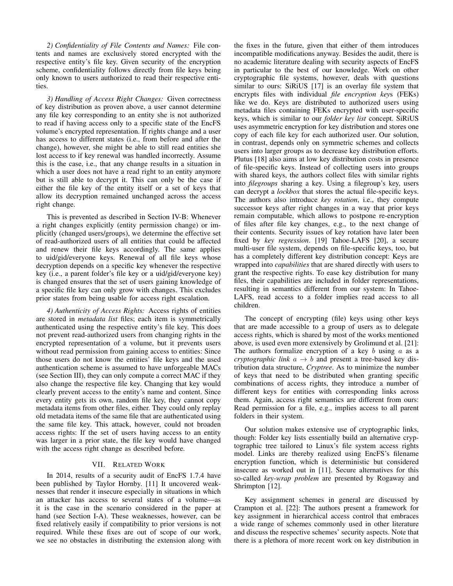*2) Confidentiality of File Contents and Names:* File contents and names are exclusively stored encrypted with the respective entity's file key. Given security of the encryption scheme, confidentiality follows directly from file keys being only known to users authorized to read their respective entities.

*3) Handling of Access Right Changes:* Given correctness of key distribution as proven above, a user cannot determine any file key corresponding to an entity she is not authorized to read if having access only to a specific state of the EncFS volume's encrypted representation. If rights change and a user has access to different states (i.e., from before and after the change), however, she might be able to still read entities she lost access to if key renewal was handled incorrectly. Assume this is the case, i.e., that any change results in a situation in which a user does not have a read right to an entity anymore but is still able to decrypt it. This can only be the case if either the file key of the entity itself or a set of keys that allow its decryption remained unchanged across the access right change.

This is prevented as described in Section IV-B: Whenever a right changes explicitly (entity permission change) or implicitly (changed users/groups), we determine the effective set of read-authorized users of all entities that could be affected and renew their file keys accordingly. The same applies to uid/gid/everyone keys. Renewal of all file keys whose decryption depends on a specific key whenever the respective key (i.e., a parent folder's file key or a uid/gid/everyone key) is changed ensures that the set of users gaining knowledge of a specific file key can only grow with changes. This excludes prior states from being usable for access right escalation.

*4) Authenticity of Access Rights:* Access rights of entities are stored in *metadata list* files; each item is symmetrically authenticated using the respective entity's file key. This does not prevent read-authorized users from changing rights in the encrypted representation of a volume, but it prevents users without read permission from gaining access to entities: Since those users do not know the entities' file keys and the used authentication scheme is assumed to have unforgeable MACs (see Section III), they can only compute a correct MAC if they also change the respective file key. Changing that key would clearly prevent access to the entity's name and content. Since every entity gets its own, random file key, they cannot copy metadata items from other files, either. They could only replay old metadata items of the same file that are authenticated using the same file key. This attack, however, could not broaden access rights: If the set of users having access to an entity was larger in a prior state, the file key would have changed with the access right change as described before.

# VII. RELATED WORK

In 2014, results of a security audit of EncFS 1.7.4 have been published by Taylor Hornby. [11] It uncovered weaknesses that render it insecure especially in situations in which an attacker has access to several states of a volume—as it is the case in the scenario considered in the paper at hand (see Section I-A). These weaknesses, however, can be fixed relatively easily if compatibility to prior versions is not required. While these fixes are out of scope of our work, we see no obstacles in distributing the extension along with the fixes in the future, given that either of them introduces incompatible modifications anyway. Besides the audit, there is no academic literature dealing with security aspects of EncFS in particular to the best of our knowledge. Work on other cryptographic file systems, however, deals with questions similar to ours: SiRiUS [17] is an overlay file system that encrypts files with individual *file encryption key*s (FEKs) like we do. Keys are distributed to authorized users using metadata files containing FEKs encrypted with user-specific keys, which is similar to our *folder key list* concept. SiRiUS uses asymmetric encryption for key distribution and stores one copy of each file key for each authorized user. Our solution, in contrast, depends only on symmetric schemes and collects users into larger groups as to decrease key distribution efforts. Plutus [18] also aims at low key distribution costs in presence of file-specific keys. Instead of collecting users into groups with shared keys, the authors collect files with similar rights into *filegroups* sharing a key. Using a filegroup's key, users can decrypt a *lockbox* that stores the actual file-specific keys. The authors also introduce *key rotation*, i.e., they compute successor keys after right changes in a way that prior keys remain computable, which allows to postpone re-encryption of files after file key changes, e.g., to the next change of their contents. Security issues of key rotation have later been fixed by *key regression*. [19] Tahoe-LAFS [20], a secure multi-user file system, depends on file-specific keys, too, but has a completely different key distribution concept: Keys are wrapped into *capabilities* that are shared directly with users to grant the respective rights. To ease key distribution for many files, their capabilities are included in folder representations, resulting in semantics different from our system: In Tahoe-LAFS, read access to a folder implies read access to all children.

The concept of encrypting (file) keys using other keys that are made accessible to a group of users as to delegate access rights, which is shared by most of the works mentioned above, is used even more extensively by Grolimund et al. [21]: The authors formalize encryption of a key b using  $a$  as a *cryptographic link*  $a \rightarrow b$  and present a tree-based key distribution data structure, *Cryptree*. As to minimize the number of keys that need to be distributed when granting specific combinations of access rights, they introduce a number of different keys for entities with corresponding links across them. Again, access right semantics are different from ours: Read permission for a file, e.g., implies access to all parent folders in their system.

Our solution makes extensive use of cryptographic links, though: Folder key lists essentially build an alternative cryptographic tree tailored to Linux's file system access rights model. Links are thereby realized using EncFS's filename encryption function, which is deterministic but considered insecure as worked out in [11]. Secure alternatives for this so-called *key-wrap problem* are presented by Rogaway and Shrimpton [12].

Key assignment schemes in general are discussed by Crampton et al. [22]: The authors present a framework for key assignment in hierarchical access control that embraces a wide range of schemes commonly used in other literature and discuss the respective schemes' security aspects. Note that there is a plethora of more recent work on key distribution in